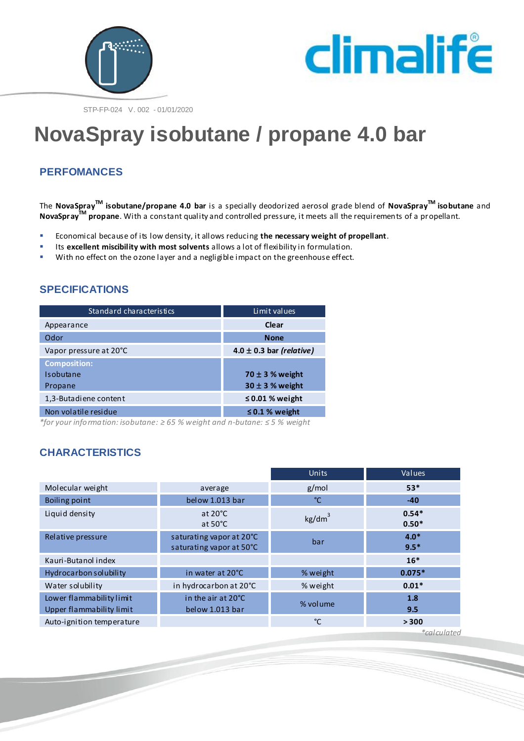



STP-FP-024 V. 002 - 01/01/2020

# **NovaSpray isobutane / propane 4.0 bar**

## **PERFOMANCES**

The **NovaSprayTM isobutane/propane 4.0 bar** is a specially deodorized aerosol grade blend of **NovaSprayTM isobutane** and **NovaSprayTM propane**. With a constant quality and controlled pressure, it meets all the requirements of a propellant.

- Economical because of its low density, it allows reducing **the necessary weight of propellant**.
- Its **excellent miscibility with most solvents** allows a lot of flexibility in formulation.<br>With no effect on the ozone layer and a negligible impact on the greenhouse effect
- With no effect on the ozone layer and a negligible impact on the greenhouse effect.

# **SPECIFICATIONS**

| Standard characteristics | Limit values                 |  |  |
|--------------------------|------------------------------|--|--|
| Appearance               | Clear                        |  |  |
| Odor                     | <b>None</b>                  |  |  |
| Vapor pressure at 20°C   | $4.0 \pm 0.3$ bar (relative) |  |  |
| <b>Composition:</b>      |                              |  |  |
| Isobutane                | 70 $\pm$ 3 % weight          |  |  |
| Propane                  | $30 \pm 3$ % weight          |  |  |
| 1,3-Butadiene content    | $\leq$ 0.01 % weight         |  |  |
| Non volatile residue     | $\leq$ 0.1 % weight          |  |  |

*\*for your information: isobutane: ≥ 65 % weight and n-butane: ≤ 5 % weight*

# **CHARACTERISTICS**

|                           |                                                      | <b>Units</b>       | Values             |
|---------------------------|------------------------------------------------------|--------------------|--------------------|
| Molecular weight          | average                                              | g/mol              | $53*$              |
| Boiling point             | below 1.013 bar                                      | °C                 | $-40$              |
| Liquid density            | at $20^{\circ}$ C<br>at $50^{\circ}$ C               | kg/dm <sup>3</sup> | $0.54*$<br>$0.50*$ |
| Relative pressure         | saturating vapor at 20°C<br>saturating vapor at 50°C | bar                | $4.0*$<br>$9.5*$   |
| Kauri-Butanol index       |                                                      |                    | $16*$              |
| Hydrocarbon solubility    | in water at 20°C                                     | % weight           | $0.075*$           |
| Water solubility          | in hydrocarbon at 20°C                               | % weight           | $0.01*$            |
| Lower flammability limit  | in the air at 20°C                                   | % volume           | 1.8                |
| Upper flammability limit  | below 1.013 bar                                      |                    | 9.5                |
| Auto-ignition temperature |                                                      | °C                 | > 300              |

*\*calculated*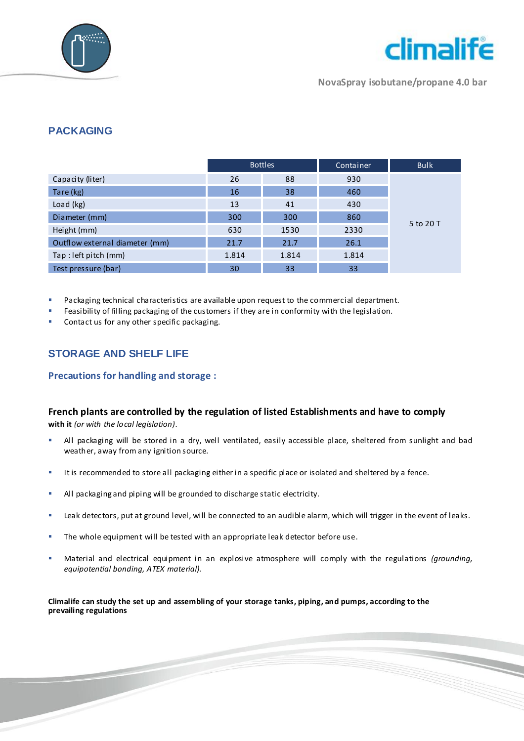



**NovaSpray isobutane/propane 4.0 bar**

## **PACKAGING**

|                                | <b>Bottles</b> |       | Container | <b>Bulk</b> |
|--------------------------------|----------------|-------|-----------|-------------|
| Capacity (liter)               | 26             | 88    | 930       |             |
| Tare (kg)                      | 16             | 38    | 460       |             |
| Load (kg)                      | 13             | 41    | 430       |             |
| Diameter (mm)                  | 300            | 300   | 860       |             |
| Height (mm)                    | 630            | 1530  | 2330      | 5 to 20 T   |
| Outflow external diameter (mm) | 21.7           | 21.7  | 26.1      |             |
| Tap: left pitch (mm)           | 1.814          | 1.814 | 1.814     |             |
| Test pressure (bar)            | 30             | 33    | 33        |             |

Packaging technical characteristics are available upon request to the commercial department.

Feasibility of filling packaging of the customers if they are in conformity with the legislation.

**Contact us for any other specific packaging.** 

# **STORAGE AND SHELF LIFE**

#### **Precautions for handling and storage :**

#### **French plants are controlled by the regulation of listed Establishments and have to comply**

**with it** *(or with the local legislation).*

- All packaging will be stored in a dry, well ventilated, easily accessible place, sheltered from sunlight and bad weather, away from any ignition source.
- It is recommended to store all packaging either in a specific place or isolated and sheltered by a fence.
- All packaging and piping will be grounded to discharge static electricity.
- **EXECT A LEAK detectors, put at ground level, will be connected to an audible alarm, which will trigger in the event of leaks.**
- The whole equipment will be tested with an appropriate leak detector before use.
- Material and electrical equipment in an explosive atmosphere will comply with the regulations *(grounding, equipotential bonding, ATEX material).*

**Climalife can study the set up and assembling of your storage tanks, piping, and pumps, according to the prevailing regulations**